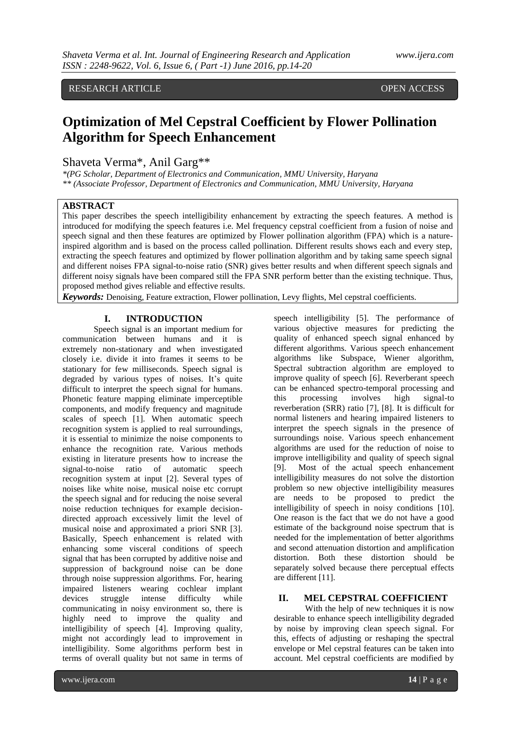## RESEARCH ARTICLE **CONSERVERS** OPEN ACCESS

# **Optimization of Mel Cepstral Coefficient by Flower Pollination Algorithm for Speech Enhancement**

## Shaveta Verma\*, Anil Garg\*\*

*\*(PG Scholar, Department of Electronics and Communication, MMU University, Haryana \*\* (Associate Professor, Department of Electronics and Communication, MMU University, Haryana*

## **ABSTRACT**

This paper describes the speech intelligibility enhancement by extracting the speech features. A method is introduced for modifying the speech features i.e. Mel frequency cepstral coefficient from a fusion of noise and speech signal and then these features are optimized by Flower pollination algorithm (FPA) which is a natureinspired algorithm and is based on the process called pollination. Different results shows each and every step, extracting the speech features and optimized by flower pollination algorithm and by taking same speech signal and different noises FPA signal-to-noise ratio (SNR) gives better results and when different speech signals and different noisy signals have been compared still the FPA SNR perform better than the existing technique. Thus, proposed method gives reliable and effective results.

*Keywords:* Denoising, Feature extraction, Flower pollination, Levy flights, Mel cepstral coefficients.

## **I. INTRODUCTION**

Speech signal is an important medium for communication between humans and it is extremely non-stationary and when investigated closely i.e. divide it into frames it seems to be stationary for few milliseconds. Speech signal is degraded by various types of noises. It's quite difficult to interpret the speech signal for humans. Phonetic feature mapping eliminate imperceptible components, and modify frequency and magnitude scales of speech [1]. When automatic speech recognition system is applied to real surroundings, it is essential to minimize the noise components to enhance the recognition rate. Various methods existing in literature presents how to increase the signal-to-noise ratio of automatic speech recognition system at input [2]. Several types of noises like white noise, musical noise etc corrupt the speech signal and for reducing the noise several noise reduction techniques for example decisiondirected approach excessively limit the level of musical noise and approximated a priori SNR [3]. Basically, Speech enhancement is related with enhancing some visceral conditions of speech signal that has been corrupted by additive noise and suppression of background noise can be done through noise suppression algorithms. For, hearing impaired listeners wearing cochlear implant devices struggle intense difficulty while communicating in noisy environment so, there is highly need to improve the quality and intelligibility of speech [4]. Improving quality, might not accordingly lead to improvement in intelligibility. Some algorithms perform best in terms of overall quality but not same in terms of

speech intelligibility [5]. The performance of various objective measures for predicting the quality of enhanced speech signal enhanced by different algorithms. Various speech enhancement algorithms like Subspace, Wiener algorithm, Spectral subtraction algorithm are employed to improve quality of speech [6]. Reverberant speech can be enhanced spectro-temporal processing and this processing involves high signal-to reverberation (SRR) ratio [7], [8]. It is difficult for normal listeners and hearing impaired listeners to interpret the speech signals in the presence of surroundings noise. Various speech enhancement algorithms are used for the reduction of noise to improve intelligibility and quality of speech signal [9]. Most of the actual speech enhancement intelligibility measures do not solve the distortion problem so new objective intelligibility measures are needs to be proposed to predict the intelligibility of speech in noisy conditions [10]. One reason is the fact that we do not have a good estimate of the background noise spectrum that is needed for the implementation of better algorithms and second attenuation distortion and amplification distortion. Both these distortion should be separately solved because there perceptual effects are different [11].

## **II. MEL CEPSTRAL COEFFICIENT**

With the help of new techniques it is now desirable to enhance speech intelligibility degraded by noise by improving clean speech signal. For this, effects of adjusting or reshaping the spectral envelope or Mel cepstral features can be taken into account. Mel cepstral coefficients are modified by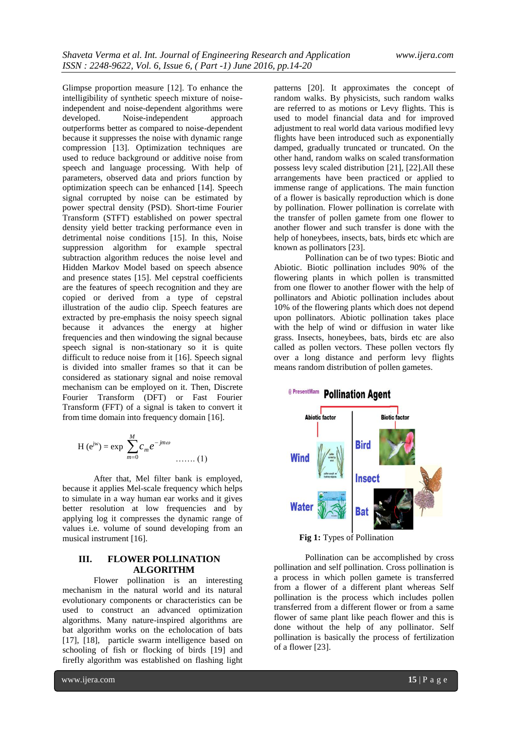Glimpse proportion measure [12]. To enhance the intelligibility of synthetic speech mixture of noiseindependent and noise-dependent algorithms were developed. Noise-independent approach outperforms better as compared to noise-dependent because it suppresses the noise with dynamic range compression [13]. Optimization techniques are used to reduce background or additive noise from speech and language processing. With help of parameters, observed data and priors function by optimization speech can be enhanced [14]. Speech signal corrupted by noise can be estimated by power spectral density (PSD). Short-time Fourier Transform (STFT) established on power spectral density yield better tracking performance even in detrimental noise conditions [15]. In this, Noise suppression algorithm for example spectral subtraction algorithm reduces the noise level and Hidden Markov Model based on speech absence and presence states [15]. Mel cepstral coefficients are the features of speech recognition and they are copied or derived from a type of cepstral illustration of the audio clip. Speech features are extracted by pre-emphasis the noisy speech signal because it advances the energy at higher frequencies and then windowing the signal because speech signal is non-stationary so it is quite difficult to reduce noise from it [16]. Speech signal is divided into smaller frames so that it can be considered as stationary signal and noise removal mechanism can be employed on it. Then, Discrete Fourier Transform (DFT) or Fast Fourier Transform (FFT) of a signal is taken to convert it from time domain into frequency domain [16].

H (e<sup>jw</sup>) = exp 
$$
\sum_{m=0}^{M} c_m e^{-jm\omega}
$$
 ...... (1)

After that, Mel filter bank is employed, because it applies Mel-scale frequency which helps to simulate in a way human ear works and it gives better resolution at low frequencies and by applying log it compresses the dynamic range of values i.e. volume of sound developing from an musical instrument [16].

## **III. FLOWER POLLINATION ALGORITHM**

Flower pollination is an interesting mechanism in the natural world and its natural evolutionary components or characteristics can be used to construct an advanced optimization algorithms. Many nature-inspired algorithms are bat algorithm works on the echolocation of bats [17], [18], particle swarm intelligence based on schooling of fish or flocking of birds [19] and firefly algorithm was established on flashing light

patterns [20]. It approximates the concept of random walks. By physicists, such random walks are referred to as motions or Levy flights. This is used to model financial data and for improved adjustment to real world data various modified levy flights have been introduced such as exponentially damped, gradually truncated or truncated. On the other hand, random walks on scaled transformation possess levy scaled distribution [21], [22].All these arrangements have been practiced or applied to immense range of applications. The main function of a flower is basically reproduction which is done by pollination. Flower pollination is correlate with the transfer of pollen gamete from one flower to another flower and such transfer is done with the help of honeybees, insects, bats, birds etc which are known as pollinators [23]. Pollination can be of two types: Biotic and

Abiotic. Biotic pollination includes 90% of the flowering plants in which pollen is transmitted from one flower to another flower with the help of pollinators and Abiotic pollination includes about 10% of the flowering plants which does not depend upon pollinators. Abiotic pollination takes place with the help of wind or diffusion in water like grass. Insects, honeybees, bats, birds etc are also called as pollen vectors. These pollen vectors fly over a long distance and perform levy flights means random distribution of pollen gametes.



**Fig 1:** Types of Pollination

Pollination can be accomplished by cross pollination and self pollination. Cross pollination is a process in which pollen gamete is transferred from a flower of a different plant whereas Self pollination is the process which includes pollen transferred from a different flower or from a same flower of same plant like peach flower and this is done without the help of any pollinator. Self pollination is basically the process of fertilization of a flower [23].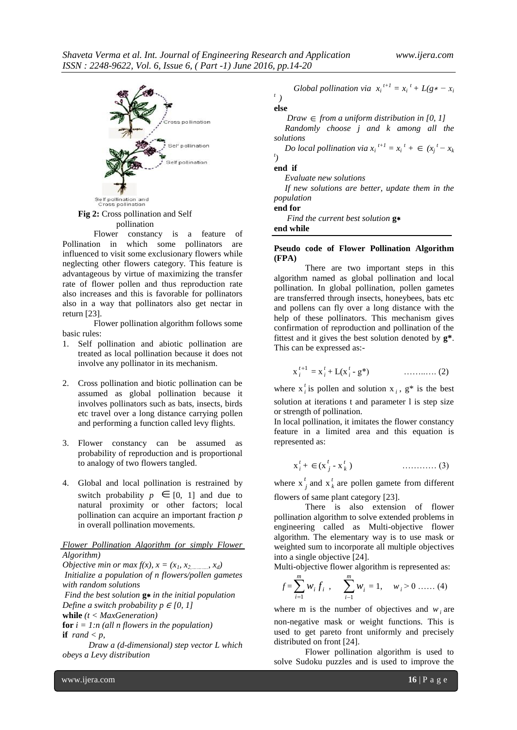

**Fig 2:** Cross pollination and Self pollination

Flower constancy is a feature of Pollination in which some pollinators are influenced to visit some exclusionary flowers while neglecting other flowers category. This feature is advantageous by virtue of maximizing the transfer rate of flower pollen and thus reproduction rate also increases and this is favorable for pollinators also in a way that pollinators also get nectar in return [23].

Flower pollination algorithm follows some basic rules:

- 1. Self pollination and abiotic pollination are treated as local pollination because it does not involve any pollinator in its mechanism.
- 2. Cross pollination and biotic pollination can be assumed as global pollination because it involves pollinators such as bats, insects, birds etc travel over a long distance carrying pollen and performing a function called levy flights.
- 3. Flower constancy can be assumed as probability of reproduction and is proportional to analogy of two flowers tangled.
- 4. Global and local pollination is restrained by switch probability  $p \in [0, 1]$  and due to natural proximity or other factors; local pollination can acquire an important fraction *p* in overall pollination movements.

#### *Flower Pollination Algorithm (or simply Flower Algorithm)*

*Objective min or max*  $f(x)$ *,*  $x = (x_1, x_2, \ldots, x_d)$ *Initialize a population of n flowers/pollen gametes with random solutions Find the best solution* **g**∗ *in the initial population Define a switch probability p*  $\in$  [0, 1] **while** *(t < MaxGeneration)* **for**  $i = 1:n$  (all *n* flowers in the population) **if**  $rand < p$ ,  *Draw a (d-dimensional) step vector L which* 

*obeys a Levy distribution* 

*Global pollination via*  $x_i^{t+1} = x_i^t + L(g * - x_i^t)$ 

## *t )* **else**

 $Draw \in from a uniform distribution in [0, 1]$ 

 *Randomly choose j and k among all the solutions* 

 *Do local pollination via*  $x_i^{t+1} = x_i^t + \epsilon$  ( $x_j^t - x_k$ *t )* 

**end if** 

 *Evaluate new solutions* 

 *If new solutions are better, update them in the population*

## **end for**

 *Find the current best solution* **g**∗ **end while** 

#### **Pseudo code of Flower Pollination Algorithm (FPA)**

There are two important steps in this algorithm named as global pollination and local pollination. In global pollination, pollen gametes are transferred through insects, honeybees, bats etc and pollens can fly over a long distance with the help of these pollinators. This mechanism gives confirmation of reproduction and pollination of the fittest and it gives the best solution denoted by **g\***. This can be expressed as:-

$$
x_i^{t+1} = x_i^t + L(x_i^t - g^*) \qquad \qquad \dots \dots \dots \dots \dots (2)
$$

where  $x_i^t$  $i_i$  is pollen and solution  $x_i$ ,  $g^*$  is the best solution at iterations t and parameter 1 is step size or strength of pollination.

In local pollination, it imitates the flower constancy feature in a limited area and this equation is represented as:

$$
\mathbf{x}_i^t + \in (\mathbf{x}_j^t - \mathbf{x}_k^t) \tag{3}
$$

where x *t*  $\int$ <sub>*j*</sub> and  $\int$ <sup>*t*</sup><sub>*l*</sub>  $\frac{h}{k}$  are pollen gamete from different flowers of same plant category [23].

There is also extension of flower pollination algorithm to solve extended problems in engineering called as Multi-objective flower algorithm. The elementary way is to use mask or weighted sum to incorporate all multiple objectives into a single objective [24].

Multi-objective flower algorithm is represented as:

$$
f = \sum_{i=1}^{m} w_i f_i
$$
,  $\sum_{i=1}^{m} w_i = 1$ ,  $w_i > 0$  ...... (4)

where m is the number of objectives and  $w_i$  are non-negative mask or weight functions. This is used to get pareto front uniformly and precisely distributed on front [24].

Flower pollination algorithm is used to solve Sudoku puzzles and is used to improve the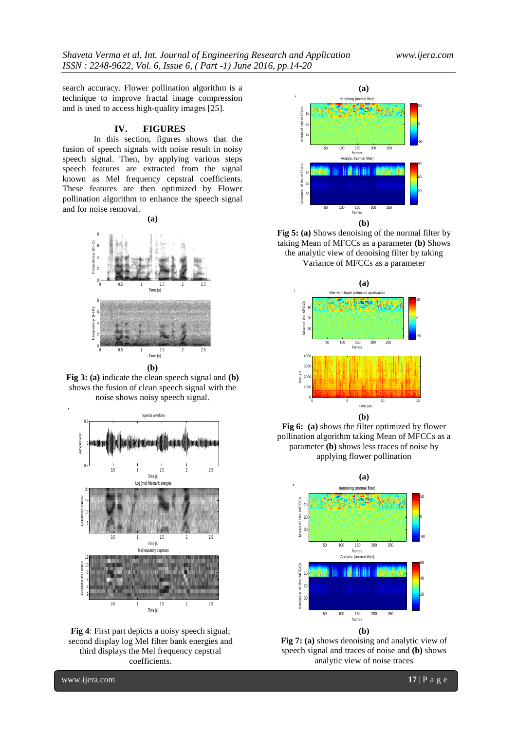search accuracy. Flower pollination algorithm is a technique to improve fractal image compression and is used to access high-quality images [25].

#### **IV. FIGURES**

In this section, figures shows that the fusion of speech signals with noise result in noisy speech signal. Then, by applying various steps speech features are extracted from the signal known as Mel frequency cepstral coefficients. These features are then optimized by Flower pollination algorithm to enhance the speech signal and for noise removal.

**(a)**



**Fig 3: (a)** indicate the clean speech signal and **(b)**  shows the fusion of clean speech signal with the noise shows noisy speech signal.



**Fig 4**: First part depicts a noisy speech signal; second display log Mel filter bank energies and third displays the Mel frequency cepstral coefficients.



**Fig 5: (a)** Shows denoising of the normal filter by taking Mean of MFCCs as a parameter **(b)** Shows the analytic view of denoising filter by taking Variance of MFCCs as a parameter







**Fig 7: (a)** shows denoising and analytic view of speech signal and traces of noise and **(b)** shows analytic view of noise traces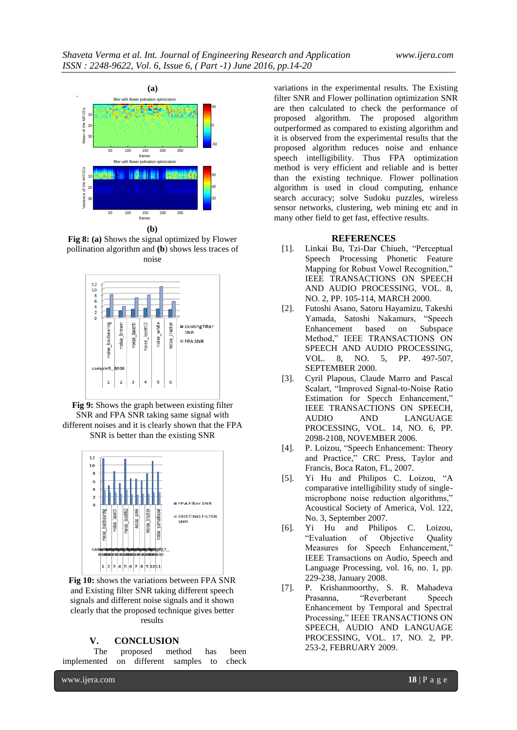

**(b)**

**Fig 8: (a)** Shows the signal optimized by Flower pollination algorithm and **(b**) shows less traces of noise



**Fig 9:** Shows the graph between existing filter SNR and FPA SNR taking same signal with different noises and it is clearly shown that the FPA SNR is better than the existing SNR



**Fig 10:** shows the variations between FPA SNR and Existing filter SNR taking different speech signals and different noise signals and it shown clearly that the proposed technique gives better results

## **V. CONCLUSION**

|                                           |  | The proposed method has been |  |
|-------------------------------------------|--|------------------------------|--|
| implemented on different samples to check |  |                              |  |

variations in the experimental results. The Existing filter SNR and Flower pollination optimization SNR are then calculated to check the performance of proposed algorithm. The proposed algorithm outperformed as compared to existing algorithm and it is observed from the experimental results that the proposed algorithm reduces noise and enhance speech intelligibility. Thus FPA optimization method is very efficient and reliable and is better than the existing technique. Flower pollination algorithm is used in cloud computing, enhance search accuracy; solve Sudoku puzzles, wireless sensor networks, clustering, web mining etc and in many other field to get fast, effective results.

#### **REFERENCES**

- [1]. Linkai Bu, Tzi-Dar Chiueh, "Perceptual Speech Processing Phonetic Feature Mapping for Robust Vowel Recognition," IEEE TRANSACTIONS ON SPEECH AND AUDIO PROCESSING, VOL. 8, NO. 2, PP. 105-114, MARCH 2000.
- [2]. Futoshi Asano, Satoru Hayamizu, Takeshi Yamada, Satoshi Nakamurs, "Speech Enhancement based on Subspace Method," IEEE TRANSACTIONS ON SPEECH AND AUDIO PROCESSING,<br>VOL. 8, NO. 5, PP. 497-507. VOL. 8, NO. 5, PP. SEPTEMBER 2000.
- [3]. Cyril Plapous, Claude Marro and Pascal Scalart, "Improved Signal-to-Noise Ratio Estimation for Specch Enhancement," IEEE TRANSACTIONS ON SPEECH, AUDIO AND LANGUAGE PROCESSING, VOL. 14, NO. 6, PP. 2098-2108, NOVEMBER 2006.
- [4]. P. Loizou, "Speech Enhancement: Theory and Practice," CRC Press, Taylor and Francis, Boca Raton, FL, 2007.
- [5]. Yi Hu and Philipos C. Loizou, "A comparative intelligibility study of singlemicrophone noise reduction algorithms," Acoustical Society of America, Vol. 122, No. 3, September 2007.
- [6]. Yi Hu and Philipos C. Loizou, "Evaluation of Objective Quality Measures for Speech Enhancement," IEEE Transactions on Audio, Speech and Language Processing, vol. 16, no. 1, pp. 229-238, January 2008.
- [7]. P. Krishanmoorthy, S. R. Mahadeva Prasanna, "Reverberant Speech Enhancement by Temporal and Spectral Processing," IEEE TRANSACTIONS ON SPEECH, AUDIO AND LANGUAGE PROCESSING, VOL. 17, NO. 2, PP. 253-2, FEBRUARY 2009.